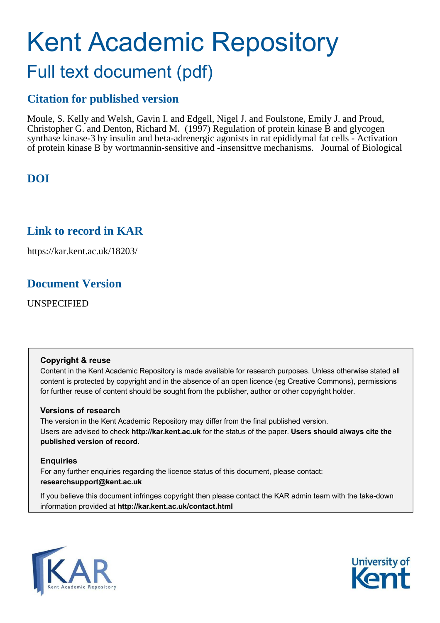# Kent Academic Repository Full text document (pdf)

# **Citation for published version**

Moule, S. Kelly and Welsh, Gavin I. and Edgell, Nigel J. and Foulstone, Emily J. and Proud, Christopher G. and Denton, Richard M. (1997) Regulation of protein kinase B and glycogen synthase kinase-3 by insulin and beta-adrenergic agonists in rat epididymal fat cells - Activation of protein kinase B by wortmannin-sensitive and -insensittve mechanisms. Journal of Biological

# **DOI**

## **Link to record in KAR**

https://kar.kent.ac.uk/18203/

## **Document Version**

UNSPECIFIED

### **Copyright & reuse**

Content in the Kent Academic Repository is made available for research purposes. Unless otherwise stated all content is protected by copyright and in the absence of an open licence (eg Creative Commons), permissions for further reuse of content should be sought from the publisher, author or other copyright holder.

### **Versions of research**

The version in the Kent Academic Repository may differ from the final published version. Users are advised to check **http://kar.kent.ac.uk** for the status of the paper. **Users should always cite the published version of record.**

### **Enquiries**

For any further enquiries regarding the licence status of this document, please contact: **researchsupport@kent.ac.uk**

If you believe this document infringes copyright then please contact the KAR admin team with the take-down information provided at **http://kar.kent.ac.uk/contact.html**



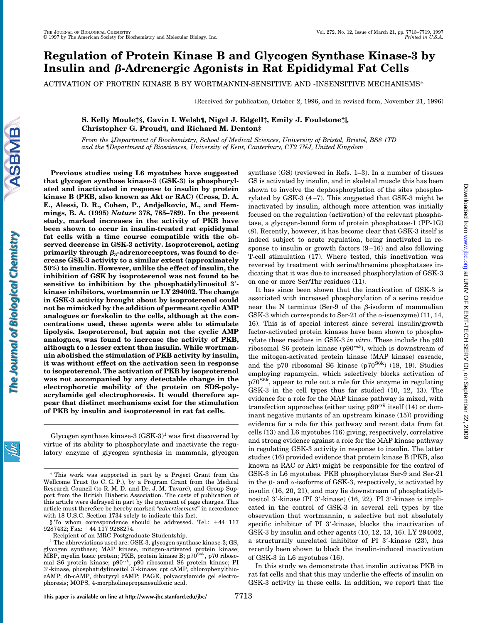### **Regulation of Protein Kinase B and Glycogen Synthase Kinase-3 by Insulin and**  $\beta$ **-Adrenergic Agonists in Rat Epididymal Fat Cells**

ACTIVATION OF PROTEIN KINASE B BY WORTMANNIN-SENSITIVE AND -INSENSITIVE MECHANISMS\*

(Received for publication, October 2, 1996, and in revised form, November 21, 1996)

### **S. Kelly Moule‡§, Gavin I. Welsh¶, Nigel J. Edgell‡, Emily J. Foulstone‡**i**, Christopher G. Proud¶, and Richard M. Denton‡**

*From the* ‡*Department of Biochemistry, School of Medical Sciences, University of Bristol, Bristol, BS8 1TD and the* ¶*Department of Biosciences, University of Kent, Canterbury, CT2 7NJ, United Kingdom*

**ated and inactivated in response to insulin by protein kinase B (PKB, also known as Akt or RAC) (Cross, D. A. E., Alessi, D. R., Cohen, P., Andjelkovic, M., and Hemmings, B. A. (1995)** *Nature* **378, 785–789). In the present study, marked increases in the activity of PKB have been shown to occur in insulin-treated rat epididymal fat cells with a time course compatible with the observed decrease in GSK-3 activity. Isoproterenol, acting primarily through** b**<sup>3</sup> -adrenoreceptors, was found to decrease GSK-3 activity to a similar extent (approximately 50%) to insulin. However, unlike the effect of insulin, the inhibition of GSK by isoproterenol was not found to be sensitive to inhibition by the phosphatidylinositol 3**\* **kinase inhibitors, wortmannin or LY 294002. The change in GSK-3 activity brought about by isoproterenol could not be mimicked by the addition of permeant cyclic AMP analogues or forskolin to the cells, although at the concentrations used, these agents were able to stimulate lipolysis. Isoproterenol, but again not the cyclic AMP analogues, was found to increase the activity of PKB, although to a lesser extent than insulin. While wortmannin abolished the stimulation of PKB activity by insulin, it was without effect on the activation seen in response to isoproterenol. The activation of PKB by isoproterenol was not accompanied by any detectable change in the electrophoretic mobility of the protein on SDS-polyacrylamide gel electrophoresis. It would therefore appear that distinct mechanisms exist for the stimulation of PKB by insulin and isoproterenol in rat fat cells.**

**Previous studies using L6 myotubes have suggested that glycogen synthase kinase-3 (GSK-3) is phosphoryl-**

| Glycogen synthase kinase- $3(GSK-3)^1$ was first discovered by  |
|-----------------------------------------------------------------|
| virtue of its ability to phosphorylate and inactivate the regu- |
| latory enzyme of glycogen synthesis in mammals, glycogen        |

synthase (GS) (reviewed in Refs. 1–3). In a number of tissues GS is activated by insulin, and in skeletal muscle this has been shown to involve the dephosphorylation of the sites phosphorylated by GSK-3 (4–7). This suggested that GSK-3 might be inactivated by insulin, although more attention was initially focused on the regulation (activation) of the relevant phosphatase, a glycogen-bound form of protein phosphatase-1 (PP-1G) (8). Recently, however, it has become clear that GSK-3 itself is indeed subject to acute regulation, being inactivated in response to insulin or growth factors (9–16) and also following T-cell stimulation (17). Where tested, this inactivation was reversed by treatment with serine/threonine phosphatases indicating that it was due to increased phosphorylation of GSK-3 on one or more Ser/Thr residues (11).

It has since been shown that the inactivation of GSK-3 is associated with increased phosphorylation of a serine residue near the N terminus (Ser-9 of the  $\beta$ -isoform of mammalian GSK-3 which corresponds to Ser-21 of the  $\alpha$ -isoenzyme) (11, 14, 16). This is of special interest since several insulin/growth factor-activated protein kinases have been shown to phosphorylate these residues in GSK-3 *in vitro*. These include the p90 ribosomal S6 protein kinase (p90*rsk*), which is downstream of the mitogen-activated protein kinase (MAP kinase) cascade, and the p70 ribosomal S6 kinase  $(p70^{S6k})$  (18, 19). Studies employing rapamycin, which selectively blocks activation of p70S6k, appear to rule out a role for this enzyme in regulating GSK-3 in the cell types thus far studied (10, 12, 13). The evidence for a role for the MAP kinase pathway is mixed, with transfection approaches (either using p90*rsk* itself (14) or dominant negative mutants of an upstream kinase (15)) providing evidence for a role for this pathway and recent data from fat cells (13) and L6 myotubes (16) giving, respectively, correlative and strong evidence against a role for the MAP kinase pathway in regulating GSK-3 activity in response to insulin. The latter studies (16) provided evidence that protein kinase B (PKB, also known as RAC or Akt) might be responsible for the control of GSK-3 in L6 myotubes. PKB phosphorylates Ser-9 and Ser-21 in the  $\beta$ - and  $\alpha$ -isoforms of GSK-3, respectively, is activated by insulin (16, 20, 21), and may lie downstream of phosphatidylinositol 3'-kinase (PI 3'-kinase) (16, 22). PI 3'-kinase is implicated in the control of GSK-3 in several cell types by the observation that wortmannin, a selective but not absolutely specific inhibitor of PI 3'-kinase, blocks the inactivation of GSK-3 by insulin and other agents (10, 12, 13, 16). LY 294002, a structurally unrelated inhibitor of PI 3'-kinase (23), has recently been shown to block the insulin-induced inactivation of GSK-3 in L6 myotubes (16).

In this study we demonstrate that insulin activates PKB in rat fat cells and that this may underlie the effects of insulin on GSK-3 activity in these cells. In addition, we report that the

<sup>\*</sup> This work was supported in part by a Project Grant from the Wellcome Trust (to C. G. P.), by a Program Grant from the Medical Research Council (to R. M. D. and Dr. J. M. Tavaré), and Group Support from the British Diabetic Association. The costs of publication of this article were defrayed in part by the payment of page charges. This article must therefore be hereby marked "*advertisement*" in accordance with 18 U.S.C. Section 1734 solely to indicate this fact.

<sup>§</sup> To whom correspondence should be addressed. Tel.:  $+44$  117 9287432; Fax: +44 117 9288274.

Recipient of an MRC Postgraduate Studentship.

<sup>&</sup>lt;sup>1</sup> The abbreviations used are: GSK-3, glycogen synthase kinase-3; GS, glycogen synthase; MAP kinase, mitogen-activated protein kinase; MBP, myelin basic protein; PKB, protein kinase B; p70<sup>S6k</sup>, p70 ribosomal S6 protein kinase; p90*rsk*, p90 ribosomal S6 protein kinase; PI 3'-kinase, phosphatidylinositol 3'-kinase; cpt cAMP, chlorophenylthiocAMP; db-cAMP, dibutyryl cAMP; PAGE, polyacrylamide gel electrophoresis; MOPS, 4-morpholinepropanesulfonic acid.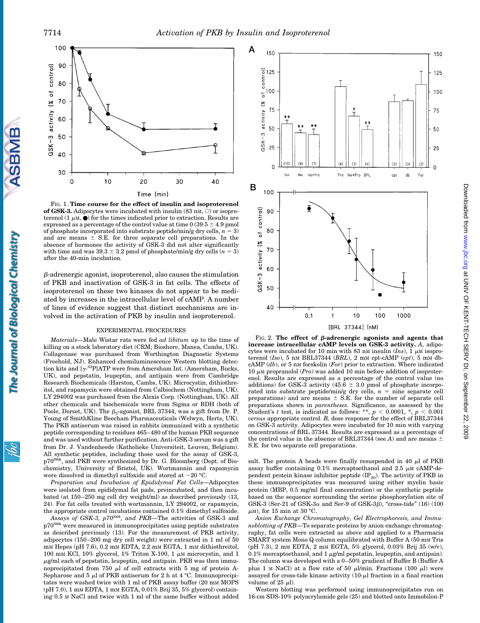SBMB

The Journal of Biological Chemistry



FIG. 1. **Time course for the effect of insulin and isoproterenol of GSK-3.** Adipocytes were incubated with insulin  $(83 \text{ nm}, \odot)$  or isoproterenol (1  $\mu$ M,  $\bullet$ ) for the times indicated prior to extraction. Results are expressed as a percentage of the control value at time  $0(39.5 \pm 4.9 \text{ pmol})$ of phosphate incorporated into substrate peptide/min/g dry cells,  $n = 3$ ) and are means  $\pm$  S.E. for three separate cell preparations. In the absence of hormones the activity of GSK-3 did not alter significantly with time and was  $39.3 \pm 3.2$  pmol of phosphate/min/g dry cells ( $n = 3$ ) after the 40-min incubation.

 $\beta$ -adrenergic agonist, isoproterenol, also causes the stimulation of PKB and inactivation of GSK-3 in fat cells. The effects of isoproterenol on these two kinases do not appear to be mediated by increases in the intracellular level of cAMP. A number of lines of evidence suggest that distinct mechanisms are involved in the activation of PKB by insulin and isoproterenol.

### EXPERIMENTAL PROCEDURES

*Materials—*Male Wistar rats were fed *ad libitum* up to the time of killing on a stock laboratory diet (CRM; Bioshore, Manea, Cambs, UK). Collagenase was purchased from Worthington Diagnostic Systems (Freehold, NJ). Enhanced chemiluminescence Western blotting detection kits and  $[\gamma^{32}P]ATP$  were from Amersham Int. (Amersham, Bucks, UK), and pepstatin, leupeptin, and antipain were from Cambridge Research Biochemicals (Harston, Cambs, UK). Microcystin, dithiothreitol, and rapamycin were obtained from Calbiochem (Nottingham, UK). LY 294002 was purchased from the Alexis Corp. (Nottingham, UK). All other chemicals and biochemicals were from Sigma or BDH (both of Poole, Dorset, UK). The  $\beta_3$ -agonist, BRL 37344, was a gift from Dr. P. Young of SmithKline Beecham Pharmaceuticals (Welwyn, Herts, UK). The PKB antiserum was raised in rabbits immunized with a synthetic peptide corresponding to residues 465–480 of the human PKB sequence and was used without further purification. Anti-GSK-3 serum was a gift from Dr. J. Vandenheede (Katholieke Universiteit, Leuven, Belgium). All synthetic peptides, including those used for the assay of GSK-3, p70S6k, and PKB were synthesized by Dr. G. Bloomberg (Dept. of Biochemistry, University of Bristol, UK). Wortmannin and rapamycin were dissolved in dimethyl sulfoxide and stored at  $-20$  °C.

*Preparation and Incubation of Epididymal Fat Cells—*Adipocytes were isolated from epididymal fat pads, preincubated, and then incubated (at 150–250 mg cell dry weight/ml) as described previously (13, 24). For fat cells treated with wortmannin, LY 294002, or rapamycin, the appropriate control incubations contained 0.1% dimethyl sulfoxide.

*Assays of GSK-3, p70S6k, and PKB—*The activities of GSK-3 and p70S6k were measured in immunoprecipitates using peptide substrates as described previously (13). For the measurement of PKB activity, adipocytes (150–200 mg dry cell weight) were extracted in 1 ml of 50 mM Hepes (pH 7.6), 0.2 mM EDTA, 2.2 mM EGTA, 1 mM dithiothreitol, 100 mm KCl, 10% glycerol, 1% Triton X-100, 1  $\mu$ M microcystin, and 1  $\mu$ g/ml each of pepstatin, leupeptin, and antipain. PKB was then immunoprecipitated from 750  $\mu$ l of cell extracts with 5 mg of protein A-Sepharose and 5  $\mu$ l of PKB antiserum for 2 h at 4 °C. Immunoprecipitates were washed twice with 1 ml of PKB assay buffer (20 mM MOPS (pH 7.0), 1 mM EDTA, 1 mM EGTA, 0.01% Brij 35, 5% glycerol) containing 0.5 M NaCl and twice with 1 ml of the same buffer without added



[BRL 37344] (nM) FIG. 2. The effect of  $\beta$ -adrenergic agonists and agents that **increase intracellular cAMP levels on GSK-3 activity.** *A*, adipocytes were incubated for 10 min with 83 nM insulin  $(Ins)$ , 1  $\mu$ M isoproterenol (*Iso*), 5 nM BRL37344 (*BRL*), 2 mM cpt-cAMP (*cpt*), 5 mM dbcAMP (*db*), or 5 nM forskolin (*For*) prior to extraction. Where indicated 10  $\mu$ M propranolol (*Pro*) was added 10 min before addition of isoproterenol. Results are expressed as a percentage of the control value (no additions) for GSK-3 activity (45.6  $\pm$  3.0 pmol of phosphate incorporated into substrate peptide/min/g dry cells,  $n =$  nine separate cell preparations) and are means  $\pm$  S.E. for the number of separate cell preparations shown in *parentheses*. Significance, as assessed by the Student's *t* test, is indicated as follows: \*\*,  $p < 0.0001$ , \*,  $p < 0.001$ *versus* appropriate control. *B,* dose response for the effect of BRL37344 on GSK-3 activity. Adipocytes were incubated for 10 min with varying concentrations of BRL 37344. Results are expressed as a percentage of the control value in the absence of BRL37344 (see *A*) and are means  $\pm$ S.E. for two separate cell preparations.

salt. The protein A beads were finally resuspended in 40  $\mu$ l of PKB assay buffer containing 0.1% mercaptoethanol and 2.5  $\mu$ M cAMP-dependent protein kinase inhibitor peptide  $(\text{IP}_{20})$ . The activity of PKB in these immunoprecipitates was measured using either myelin basic protein (MBP, 0.5 mg/ml final concentration) or the synthetic peptide based on the sequence surrounding the serine phosphorylation site of GSK-3 (Ser-21 of GSK-3 $\alpha$  and Ser-9 of GSK-3 $\beta$ ), "cross-tide" (16) (100  $\mu$ M), for 15 min at 30 °C.

*Anion Exchange Chromatography, Gel Electrophoresis, and Immunoblotting of PKB—*To separate proteins by anion exchange chromatography, fat cells were extracted as above and applied to a Pharmacia SMART system Mono Q column equilibrated with Buffer A (50 mm Tris (pH 7.3), 2 mM EDTA, 2 mM EGTA, 5% glycerol, 0.03% Brij 35 (w/v), 0.1% mercaptoethanol, and 1  $\mu$ g/ml pepstatin, leupeptin, and antipain). The column was developed with a 0–50% gradient of Buffer B (Buffer A plus 1 M NaCl) at a flow rate of 50  $\mu$ l/min. Fractions (100  $\mu$ l) were assayed for cross-tide kinase activity  $(10-\mu)$  fraction in a final reaction volume of  $25$   $\mu$ ).

Western blotting was performed using immunoprecipitates run on 16-cm SDS-10% polyacrylamide gels (25) and blotted onto Immobilon-P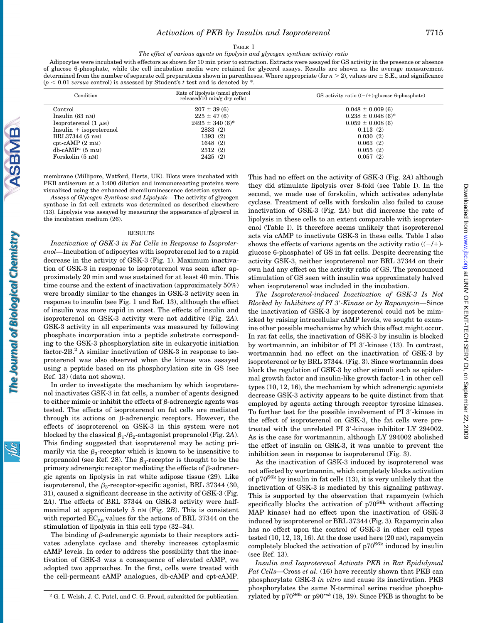#### TABLE I

Adipocytes were incubated with effectors as shown for 10 min prior to extraction. Extracts were assayed for GS activity in the presence or absence of glucose 6-phosphate, while the cell incubation media were retained for glycerol assays. Results are shown as the average measurement determined from the number of separate cell preparations shown in parentheses. Where appropriate (for  $n > 2$ ), values are  $\pm$  S.E., and significance  $(p < 0.01$  *versus* control) is assessed by Student's t test and is denoted by \*.

| Condition                    | Rate of lipolysis (nmol glycerol)<br>released/10 min/g dry cells) | GS activity ratio $((-/+)$ -glucose 6-phosphate) |
|------------------------------|-------------------------------------------------------------------|--------------------------------------------------|
| Control                      | $207 \pm 39(6)$                                                   | $0.048 \pm 0.009(6)$                             |
| Insulin $(83 \text{ nm})$    | $225 \pm 47(6)$                                                   | $0.238 \pm 0.048$ (6)*                           |
| Isoproterenol $(1 \mu M)$    | $2495 \pm 340(6)^*$                                               | $0.059 \pm 0.008(6)$                             |
| $Insulin + isoproterenol$    | 2833 (2)                                                          | 0.113(2)                                         |
| BRL37344 (5 nm)              | 1393(2)                                                           | 0.030(2)                                         |
| $cpt$ -cAMP $(2 \text{ mm})$ | 1648(2)                                                           | 0.063(2)                                         |
| db-c $AMP^a$ (5 mM)          | 2512(2)                                                           | 0.055(2)                                         |
| Forskolin (5 nm)             | 2425(2)                                                           | 0.057(2)                                         |

membrane (Millipore, Watford, Herts, UK). Blots were incubated with PKB antiserum at a 1:400 dilution and immunoreacting proteins were visualized using the enhanced chemiluminescence detection system.

*Assays of Glycogen Synthase and Lipolysis—*The activity of glycogen synthase in fat cell extracts was determined as described elsewhere (13). Lipolysis was assayed by measuring the appearance of glycerol in the incubation medium (26).

#### RESULTS

*Inactivation of GSK-3 in Fat Cells in Response to Isoproterenol—*Incubation of adipocytes with isoproterenol led to a rapid decrease in the activity of GSK-3 (Fig. 1). Maximum inactivation of GSK-3 in response to isoproterenol was seen after approximately 20 min and was sustained for at least 40 min. This time course and the extent of inactivation (approximately 50%) were broadly similar to the changes in GSK-3 activity seen in response to insulin (see Fig. 1 and Ref. 13), although the effect of insulin was more rapid in onset. The effects of insulin and isoproterenol on GSK-3 activity were not additive (Fig. 2*A*). GSK-3 activity in all experiments was measured by following phosphate incorporation into a peptide substrate corresponding to the GSK-3 phosphorylation site in eukaryotic initiation factor-2B.<sup>2</sup> A similar inactivation of GSK-3 in response to isoproterenol was also observed when the kinase was assayed using a peptide based on its phosphorylation site in GS (see Ref. 13) (data not shown).

In order to investigate the mechanism by which isoproterenol inactivates GSK-3 in fat cells, a number of agents designed to either mimic or inhibit the effects of  $\beta$ -adrenergic agents was tested. The effects of isoproterenol on fat cells are mediated through its actions on  $\beta$ -adrenergic receptors. However, the effects of isoproterenol on GSK-3 in this system were not blocked by the classical  $\beta_1$ -/ $\beta_2$ -antagonist propranolol (Fig. 2A). This finding suggested that isoproterenol may be acting primarily via the  $\beta_3$ -receptor which is known to be insensitive to propranolol (see Ref. 28). The  $\beta_3$ -receptor is thought to be the primary adrenergic receptor mediating the effects of  $\beta$ -adrenergic agents on lipolysis in rat white adipose tissue (29). Like isoproterenol, the  $\beta_3$ -receptor-specific agonist, BRL 37344 (30, 31), caused a significant decrease in the activity of GSK-3 (Fig. 2*A*). The effects of BRL 37344 on GSK-3 activity were halfmaximal at approximately 5 nm (Fig. 2B). This is consistent with reported  $EC_{50}$  values for the actions of BRL 37344 on the stimulation of lipolysis in this cell type (32–34).

The binding of  $\beta$ -adrenergic agonists to their receptors activates adenylate cyclase and thereby increases cytoplasmic cAMP levels. In order to address the possibility that the inactivation of GSK-3 was a consequence of elevated cAMP, we adopted two approaches. In the first, cells were treated with the cell-permeant cAMP analogues, db-cAMP and cpt-cAMP.

*The Isoproterenol-induced Inactivation of GSK-3 Is Not Blocked by Inhibitors of PI 3*9*-Kinase or by Rapamycin—*Since the inactivation of GSK-3 by isoproterenol could not be mimicked by raising intracellular cAMP levels, we sought to examine other possible mechanisms by which this effect might occur. In rat fat cells, the inactivation of GSK-3 by insulin is blocked by wortmannin, an inhibitor of PI 3'-kinase (13). In contrast, wortmannin had no effect on the inactivation of GSK-3 by isoproterenol or by BRL 37344. (Fig. 3). Since wortmannin does block the regulation of GSK-3 by other stimuli such as epidermal growth factor and insulin-like growth factor-1 in other cell types (10, 12, 16), the mechanism by which adrenergic agonists decrease GSK-3 activity appears to be quite distinct from that employed by agents acting through receptor tyrosine kinases. To further test for the possible involvement of PI 3'-kinase in the effect of isoproterenol on GSK-3, the fat cells were pretreated with the unrelated PI 3'-kinase inhibitor LY 294002. As is the case for wortmannin, although LY 294002 abolished the effect of insulin on GSK-3, it was unable to prevent the inhibition seen in response to isoproterenol (Fig. 3).

As the inactivation of GSK-3 induced by isoproterenol was not affected by wortmannin, which completely blocks activation of  $p70<sup>S6k</sup>$  by insulin in fat cells (13), it is very unlikely that the inactivation of GSK-3 is mediated by this signaling pathway. This is supported by the observation that rapamycin (which specifically blocks the activation of p70<sup>S6k</sup> without affecting MAP kinase) had no effect upon the inactivation of GSK-3 induced by isoproterenol or BRL 37344 (Fig. 3). Rapamycin also has no effect upon the control of GSK-3 in other cell types tested (10, 12, 13, 16). At the dose used here (20 nM), rapamycin completely blocked the activation of  $p70<sup>S6k</sup>$  induced by insulin (see Ref. 13).

*Insulin and Isoproterenol Activate PKB in Rat Epididymal Fat Cells—*Cross *et al.* (16) have recently shown that PKB can phosphorylate GSK-3 *in vitro* and cause its inactivation. PKB phosphorylates the same N-terminal serine residue phospho-<sup>2</sup> G. I. Welsh, J. C. Patel, and C. G. Proud, submitted for publication. rylated by  $p70^{S6k}$  or  $p90^{rsk}$  (18, 19). Since PKB is thought to be

This had no effect on the activity of GSK-3 (Fig. 2*A*) although they did stimulate lipolysis over 8-fold (see Table I). In the second, we made use of forskolin, which activates adenylate cyclase. Treatment of cells with forskolin also failed to cause inactivation of GSK-3 (Fig. 2*A*) but did increase the rate of lipolysis in these cells to an extent comparable with isoproterenol (Table I). It therefore seems unlikely that isoproterenol acts via cAMP to inactivate GSK-3 in these cells. Table I also shows the effects of various agents on the activity ratio  $((-/+)$ glucose 6-phosphate) of GS in fat cells. Despite decreasing the activity GSK-3, neither isoproterenol nor BRL 37344 on their own had any effect on the activity ratio of GS. The pronounced stimulation of GS seen with insulin was approximately halved when isoproterenol was included in the incubation.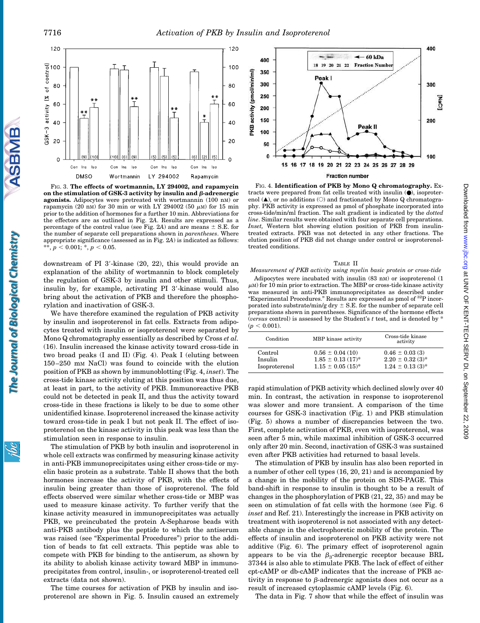SBMB

The Journal of Biological Chemistry



FIG. 3. **The effects of wortmannin, LY 294002, and rapamycin** on the stimulation of GSK-3 activity by insulin and  $\beta$ -adrenergic **agonists.** Adipocytes were pretreated with wortmannin (100 nM) or rapamycin (20 nM) for 30 min or with LY 294002 (50  $\mu$ M) for 15 min prior to the addition of hormones for a further 10 min. Abbreviations for the effectors are as outlined in Fig. 2*A*. Results are expressed as a percentage of the control value (see Fig. 2*A*) and are means  $\pm$  S.E. for the number of separate cell preparations shown in *parentheses*. Where appropriate significance (assessed as in Fig. 2*A*) is indicated as follows:  $^{**}$ ,  $p < 0.001$ ;  $^{*}$ ,  $p < 0.05$ .

downstream of PI  $3'$ -kinase (20, 22), this would provide an explanation of the ability of wortmannin to block completely the regulation of GSK-3 by insulin and other stimuli. Thus, insulin by, for example, activating PI 3'-kinase would also bring about the activation of PKB and therefore the phosphorylation and inactivation of GSK-3.

We have therefore examined the regulation of PKB activity by insulin and isoproterenol in fat cells. Extracts from adipocytes treated with insulin or isoproterenol were separated by Mono Q chromatography essentially as described by Cross *et al.* (16). Insulin increased the kinase activity toward cross-tide in two broad peaks (I and II) (Fig. 4). Peak I (eluting between 150–250 mM NaCl) was found to coincide with the elution position of PKB as shown by immunoblotting (Fig. 4, *inset*). The cross-tide kinase activity eluting at this position was thus due, at least in part, to the activity of PKB. Immunoreactive PKB could not be detected in peak II, and thus the activity toward cross-tide in these fractions is likely to be due to some other unidentified kinase. Isoproterenol increased the kinase activity toward cross-tide in peak I but not peak II. The effect of isoproterenol on the kinase activity in this peak was less than the stimulation seen in response to insulin.

The stimulation of PKB by both insulin and isoproterenol in whole cell extracts was confirmed by measuring kinase activity in anti-PKB immunoprecipitates using either cross-tide or myelin basic protein as a substrate. Table II shows that the both hormones increase the activity of PKB, with the effects of insulin being greater than those of isoproterenol. The fold effects observed were similar whether cross-tide or MBP was used to measure kinase activity. To further verify that the kinase activity measured in immunoprecipitates was actually PKB, we preincubated the protein A-Sepharose beads with anti-PKB antibody plus the peptide to which the antiserum was raised (see "Experimental Procedures") prior to the addition of beads to fat cell extracts. This peptide was able to compete with PKB for binding to the antiserum, as shown by its ability to abolish kinase activity toward MBP in immunoprecipitates from control, insulin-, or isoproterenol-treated cell extracts (data not shown).

The time courses for activation of PKB by insulin and isoproterenol are shown in Fig. 5. Insulin caused an extremely



FIG. 4. **Identification of PKB by Mono Q chromatography.** Extracts were prepared from fat cells treated with insulin (●), isoproterenol  $(\triangle)$ , or no additions  $(\bigcirc)$  and fractionated by Mono Q chromatography. PKB activity is expressed as pmol of phosphate incorporated into cross-tide/min/ml fraction. The salt gradient is indicated by the *dotted line*. Similar results were obtained with four separate cell preparations. *Inset,* Western blot showing elution position of PKB from insulintreated extracts. PKB was not detected in any other fractions. The elution position of PKB did not change under control or isoproterenoltreated conditions.

#### TABLE II

*Measurement of PKB activity using myelin basic protein or cross-tide* Adipocytes were incubated with insulin (83 nM) or isoproterenol (1  $\mu$ M) for 10 min prior to extraction. The MBP or cross-tide kinase activity was measured in anti-PKB immunoprecipitates as described under "Experimental Procedures." Results are expressed as pmol of <sup>32</sup>P incorporated into substrate/min/g dry  $\pm$  S.E. for the number of separate cell preparations shown in parentheses. Significance of the hormone effects (*versus* control) is assessed by the Student's *t* test, and is denoted by \*  $(p < 0.001)$ .

| Condition     | MBP kinase activity               | Cross-tide kinase<br>activity    |
|---------------|-----------------------------------|----------------------------------|
| Control       | $0.56 \pm 0.04(10)$               | $0.46 \pm 0.03(3)$               |
| Insulin       | $1.85 \pm 0.13$ (17) <sup>*</sup> | $2.20 \pm 0.32$ (3) <sup>*</sup> |
| Isoproterenol | $1.15 \pm 0.05$ (15)*             | $1.24 \pm 0.13(3)^*$             |

rapid stimulation of PKB activity which declined slowly over 40 min. In contrast, the activation in response to isoproterenol was slower and more transient. A comparison of the time courses for GSK-3 inactivation (Fig. 1) and PKB stimulation (Fig. 5) shows a number of discrepancies between the two. First, complete activation of PKB, even with isoproterenol, was seen after 5 min, while maximal inhibition of GSK-3 occurred only after 20 min. Second, inactivation of GSK-3 was sustained even after PKB activities had returned to basal levels.

The stimulation of PKB by insulin has also been reported in a number of other cell types (16, 20, 21) and is accompanied by a change in the mobility of the protein on SDS-PAGE. This band-shift in response to insulin is thought to be a result of changes in the phosphorylation of PKB (21, 22, 35) and may be seen on stimulation of fat cells with the hormone (see Fig. 6 *inset* and Ref. 21). Interestingly the increase in PKB activity on treatment with isoproterenol is not associated with any detectable change in the electrophoretic mobility of the protein. The effects of insulin and isoproterenol on PKB activity were not additive (Fig. 6). The primary effect of isoproterenol again appears to be via the  $\beta_3$ -adrenergic receptor because BRL 37344 is also able to stimulate PKB. The lack of effect of either cpt-cAMP or db-cAMP indicates that the increase of PKB activity in response to  $\beta$ -adrenergic agonists does not occur as a result of increased cytoplasmic cAMP levels (Fig. 6).

The data in Fig. 7 show that while the effect of insulin was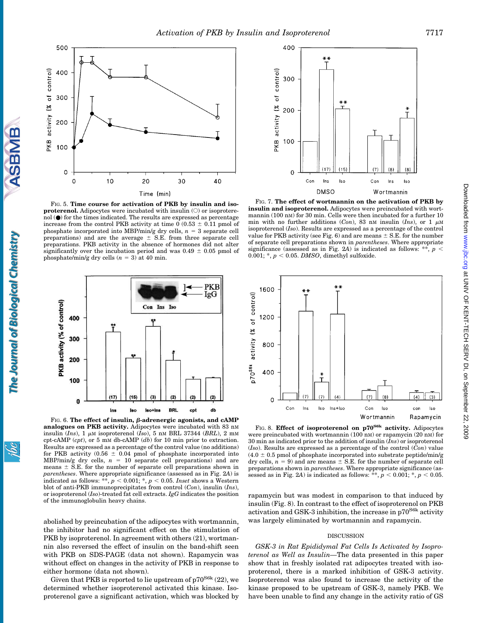

**SING** 

The Journal of Biological Chemistry

FIG. 5. **Time course for activation of PKB by insulin and isoproterenol.** Adipocytes were incubated with insulin  $(\bigcirc)$  or isoproterenol (●) for the times indicated. The results are expressed as percentage increase from the control PKB activity at time  $0$  (0.53  $\pm$  0.11 pmol of phosphate incorporated into MBP/min/g dry cells,  $n = 3$  separate cell preparations) and are the average  $\pm$  S.E. from three separate cell preparations. PKB activity in the absence of hormones did not alter significantly over the incubation period and was  $0.49 \pm 0.05$  pmol of phosphate/min/g dry cells  $(n = 3)$  at 40 min.



FIG. 6. **The effect of insulin,** b**-adrenergic agonists, and cAMP analogues on PKB activity.** Adipocytes were incubated with 83 nM insulin (*Ins*), 1  $\mu$ M isoproterenol (*Iso*), 5 nM BRL 37344 (*BRL*), 2 mM cpt-cAMP (*cpt*), or 5 mM db-cAMP (*db*) for 10 min prior to extraction. Results are expressed as a percentage of the control value (no additions) for PKB activity (0.56  $\pm$  0.04 pmol of phosphate incorporated into MBP/min/g dry cells,  $n = 10$  separate cell preparations) and are means  $\pm$  S.E. for the number of separate cell preparations shown in *parentheses*. Where appropriate significance (assessed as in Fig. 2*A*) is indicated as follows: \*\*,  $p < 0.001$ ; \*,  $p < 0.05$ . *Inset* shows a Western blot of anti-PKB immunoprecipitates from control (*Con*), insulin (*Ins*), or isoproterenol (*Iso*)-treated fat cell extracts. *IgG* indicates the position of the immunoglobulin heavy chains.

abolished by preincubation of the adipocytes with wortmannin, the inhibitor had no significant effect on the stimulation of PKB by isoproterenol. In agreement with others  $(21)$ , wortmannin also reversed the effect of insulin on the band-shift seen with PKB on SDS-PAGE (data not shown). Rapamycin was without effect on changes in the activity of PKB in response to either hormone (data not shown).

Given that PKB is reported to lie upstream of  $p70^{S6k}$  (22), we determined whether isoproterenol activated this kinase. Isoproterenol gave a significant activation, which was blocked by



FIG. 7. **The effect of wortmannin on the activation of PKB by insulin and isoproterenol.** Adipocytes were preincubated with wortmannin (100 nM) for 30 min. Cells were then incubated for a further 10 min with no further additions (*Con*), 83 nM insulin (*Ins*), or 1  $\mu$ M isoproterenol (*Iso*). Results are expressed as a percentage of the control value for PKB activity (see Fig. 6) and are means  $\pm$  S.E. for the number of separate cell preparations shown in *parentheses*. Where appropriate significance (assessed as in Fig. 2A) is indicated as follows: \*\*,  $p$ 0.001;  $*, p < 0.05$ . *DMSO*, dimethyl sulfoxide.



FIG. 8. **Effect of isoproterenol on p70S6k activity.** Adipocytes were preincubated with wortmannin (100 nM) or rapamycin (20 nM) for 30 min as indicated prior to the addition of insulin (*Ins*) or isoproterenol (*Iso*). Results are expressed as a percentage of the control (*Con*) value  $(4.0 \pm 0.5 \text{ pmol of phosphate incorporated into substrate peptide/min/g})$ dry cells,  $n = 9$ ) and are means  $\pm$  S.E. for the number of separate cell preparations shown in *parentheses*. Where appropriate significance (assessed as in Fig. 2*A*) is indicated as follows: \*\*,  $p < 0.001$ ; \*,  $p < 0.05$ .

rapamycin but was modest in comparison to that induced by insulin (Fig. 8). In contrast to the effect of isoproterenol on PKB activation and GSK-3 inhibition, the increase in p70<sup>S6k</sup> activity was largely eliminated by wortmannin and rapamycin.

#### DISCUSSION

*GSK-3 in Rat Epididymal Fat Cells Is Activated by Isoproterenol as Well as Insulin—*The data presented in this paper show that in freshly isolated rat adipocytes treated with isoproterenol, there is a marked inhibition of GSK-3 activity. Isoproterenol was also found to increase the activity of the kinase proposed to be upstream of GSK-3, namely PKB. We have been unable to find any change in the activity ratio of GS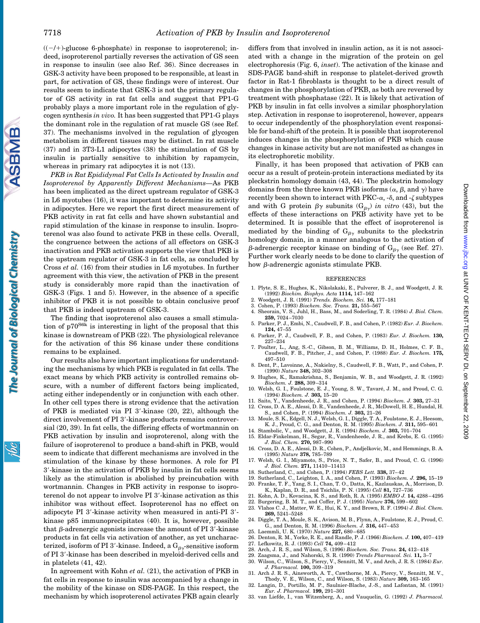ASBMB

The Journal of Biological Chemistry

 $((-/+)$ -glucose 6-phosphate) in response to isoproterenol; indeed, isoproterenol partially reverses the activation of GS seen in response to insulin (see also Ref. 36). Since decreases in GSK-3 activity have been proposed to be responsible, at least in part, for activation of GS, these findings were of interest. Our results seem to indicate that GSK-3 is not the primary regulator of GS activity in rat fat cells and suggest that PP1-G probably plays a more important role in the regulation of glycogen synthesis *in vivo.* It has been suggested that PP1-G plays the dominant role in the regulation of rat muscle GS (see Ref. 37). The mechanisms involved in the regulation of glycogen metabolism in different tissues may be distinct. In rat muscle (37) and in 3T3-L1 adipocytes (38) the stimulation of GS by insulin is partially sensitive to inhibition by rapamycin, whereas in primary rat adipocytes it is not (13).

*PKB in Rat Epididymal Fat Cells Is Activated by Insulin and Isoproterenol by Apparently Different Mechanisms—*As PKB has been implicated as the direct upstream regulator of GSK-3 in L6 myotubes (16), it was important to determine its activity in adipocytes. Here we report the first direct measurement of PKB activity in rat fat cells and have shown substantial and rapid stimulation of the kinase in response to insulin. Isoproterenol was also found to activate PKB in these cells. Overall, the congruence between the actions of all effectors on GSK-3 inactivation and PKB activation supports the view that PKB is the upstream regulator of GSK-3 in fat cells, as concluded by Cross *et al.* (16) from their studies in L6 myotubes. In further agreement with this view, the activation of PKB in the present study is considerably more rapid than the inactivation of GSK-3 (Figs. 1 and 5). However, in the absence of a specific inhibitor of PKB it is not possible to obtain conclusive proof that PKB is indeed upstream of GSK-3.

The finding that isoproterenol also causes a small stimulation of  $p70<sup>S6k</sup>$  is interesting in light of the proposal that this kinase is downstream of PKB (22). The physiological relevance for the activation of this S6 kinase under these conditions remains to be explained.

Our results also have important implications for understanding the mechanisms by which PKB is regulated in fat cells. The exact means by which PKB activity is controlled remains obscure, with a number of different factors being implicated, acting either independently or in conjunction with each other. In other cell types there is strong evidence that the activation of PKB is mediated via PI  $3'$ -kinase (20, 22), although the direct involvement of PI 3'-kinase products remains controversial (20, 39). In fat cells, the differing effects of wortmannin on PKB activation by insulin and isoproterenol, along with the failure of isoproterenol to produce a band-shift in PKB, would seem to indicate that different mechanisms are involved in the stimulation of the kinase by these hormones. A role for PI 3'-kinase in the activation of PKB by insulin in fat cells seems likely as the stimulation is abolished by preincubation with wortmannin. Changes in PKB activity in response to isoproterenol do not appear to involve PI 3'-kinase activation as this inhibitor was without effect. Isoproterenol has no effect on adipocyte PI 3'-kinase activity when measured in anti-PI 3'kinase p85 immunoprecipitates (40). It is, however, possible that  $\beta$ -adrenergic agonists increase the amount of PI 3'-kinase products in fat cells via activation of another, as yet uncharacterized, isoform of PI 3'-kinase. Indeed, a  $G_{\beta\gamma}$ -sensitive isoform of PI 3'-kinase has been described in myeloid-derived cells and in platelets (41, 42).

In agreement with Kohn *et al.* (21), the activation of PKB in fat cells in response to insulin was accompanied by a change in the mobility of the kinase on SDS-PAGE. In this respect, the mechanism by which isoproterenol activates PKB again clearly differs from that involved in insulin action, as it is not associated with a change in the migration of the protein on gel electrophoresis (Fig. 6, *inset*). The activation of the kinase and SDS-PAGE band-shift in response to platelet-derived growth factor in Rat-1 fibroblasts is thought to be a direct result of changes in the phosphorylation of PKB, as both are reversed by treatment with phosphatase (22). It is likely that activation of PKB by insulin in fat cells involves a similar phosphorylation step. Activation in response to isoproterenol, however, appears to occur independently of the phosphorylation event responsible for band-shift of the protein. It is possible that isoproterenol induces changes in the phosphorylation of PKB which cause changes in kinase activity but are not manifested as changes in its electrophoretic mobility.

Finally, it has been proposed that activation of PKB can occur as a result of protein-protein interactions mediated by its pleckstrin homology domain (43, 44). The pleckstrin homology domains from the three known PKB isoforms  $(\alpha, \beta, \text{and } \gamma)$  have recently been shown to interact with  $PKC-\alpha$ ,  $-\delta$ , and  $-\zeta$  subtypes and with G protein  $\beta\gamma$  subunits  $(G_{\beta\gamma})$  *in vitro* (43), but the effects of these interactions on PKB activity have yet to be determined. It is possible that the effect of isoproterenol is mediated by the binding of  $G_{\beta\gamma}$  subunits to the pleckstrin homology domain, in a manner analogous to the activation of  $\beta$ -adrenergic receptor kinase on binding of  $G_{\beta\gamma}$  (see Ref. 27). Further work clearly needs to be done to clarify the question of how  $\beta$ -adrenergic agonists stimulate PKB.

#### REFERENCES

- 1. Plyte, S. E., Hughes, K., Nikolakaki, E., Pulverer, B. J., and Woodgett, J. R. (1992) *Biochim. Biophys. Acta* **1114,** 147–162
- 2. Woodgett, J. R. (1991) *Trends. Biochem. Sci.* **16,** 177–181
- 3. Cohen, P. (1993) *Biochem. Soc. Trans.* **21,** 555–567
- 4. Sheorain, V. S., Juhl, H., Bass, M., and Soderling, T. R. (1984) *J. Biol. Chem.* **259,** 7024–7030
- 5. Parker, P. J., Embi, N., Caudwell, F. B., and Cohen, P. (1982) *Eur. J. Biochem.* **124,** 47–55
- 6. Parker, P. J., Caudwell, F. B., and Cohen, P. (1983) *Eur. J. Biochem.* **130,** 227–234
- 7. Poulter, L., Ang, S.-C., Gibson, B. M., Williams, D. H., Holmes, C. F. B., Caudwell, F. B., Pitcher, J., and Cohen, P. (1988) *Eur. J. Biochem.* **175,** 497–510
- 8. Dent, P., Lavoinne, A., Nakielny, S., Caudwell, F. B., Watt, P., and Cohen, P. (1990) *Nature* **348,** 302–308
- 9. Hughes, K., Ramakrishna, S., Benjamin, W. B., and Woodgett, J. R. (1992) *Biochem. J.* **288,** 309–314
- 10. Welsh, G. I., Foulstone, E. J., Young, S. W., Tavaré, J. M., and Proud, C. G. (1994) *Biochem. J.* **303,** 15–20
- 11. Saito, Y., Vandenheede, J. R., and Cohen, P. (1994) *Biochem. J.* **303,** 27–31 12. Cross, D. A. E., Alessi, D. R., Vandenheede, J. R., McDowell, H. E., Hundal, H. S., and Cohen, P. (1994) *Biochem. J.* **303,** 21–26
- 13. Moule, S. K., Edgell, N. J., Welsh, G. I., Diggle, T. A., Foulstone, E. J., Heesom, K. J., Proud, C. G., and Denton, R. M. (1995) *Biochem. J.* **311,** 595–601
- 14. Stambolic, V., and Woodgett, J. R. (1994) *Biochem. J.* **303,** 701–704 15. Eldar-Finkelman, H., Segar, R., Vandenheede, J. R., and Krebs, E. G. (1995)
- *J. Biol. Chem.* **270,** 987–990 16. Cross, D. A. E., Alessi, D. R., Cohen, P., Andjelkovic, M., and Hemmings, B. A.
- (1995) *Nature* **378,** 785–789
- 17. Welsh, G. I., Miyamoto, S., Price, N. T., Safer, B., and Proud, C. G. (1996) *J. Biol. Chem.* **271,** 11410–11413
- 18. Sutherland, C., and Cohen, P. (1994) *FEBS Lett.* **338,** 37–42
- 19. Sutherland, C., Leighton, I. A., and Cohen, P. (1993) *Biochem. J.* **296,** 15–19 20. Franke, T. F., Yang, S. I., Chan, T. O., Datta, K., Kazlauskas, A., Morrison, D.
- K., Kaplan, D. R., and Tsichlis, P. N. (1995) *Cell* **81,** 727–736
- 21. Kohn, A. D., Kovacina, K. S., and Roth, R. A. (1995) *EMBO J.* **14,** 4288–4295 22. Burgering, B. M. T., and Coffer, P. J. (1995) *Nature* **376,** 599–602
- 23. Vlahos C. J., Matter, W. E., Hui, K. Y., and Brown, R. F. (1994) *J. Biol. Chem.* **269,** 5241–5248
- 24. Diggle, T. A., Moule, S. K., Avison, M. B., Flynn, A., Foulstone, E. J., Proud, C. G., and Denton, R. M. (1996) *Biochem. J.* **316,** 447–453
- 25. Laemmli, U. K. (1970) *Nature* **227,** 680–685
- 26. Denton, R. M., Yorke, R. E., and Randle, P. J. (1966) *Biochem. J.* **100,** 407–419 27. Lefkowitz, R. J. (1993) *Cell* **74,** 409–412
- 
- 28. Arch, J. R. S., and Wilson, S. (1996) *Biochem. Soc. Trans.* **24,** 412–418 29. Zaagsma, J., and Nahorski, S. R. (1990) *Trends Pharmacol. Sci.* **11,** 3–7
- 30. Wilson, C., Wilson, S., Piercy, V., Sennitt, M. V., and Arch, J. R. S. (1984) *Eur. J. Pharmacol.* **100,** 309–319
- 31. Arch J. R. S., Ainsworth, A. T., Cawthorne, M. A., Piercy, V., Sennitt, M. V., Thody, V. E., Wilson, C., and Wilson, S. (1983) *Nature* **309,** 163–165
- angin, D., Portillo, M. P., Saulnier-Blache, J.-S., and Lafontan, M. (1991) *Eur. J. Pharmacol.* **199,** 291–301
- 33. van Liefde, I., van Witzenberg, A., and Vauquelin, G. (1992) *J. Pharmacol.*